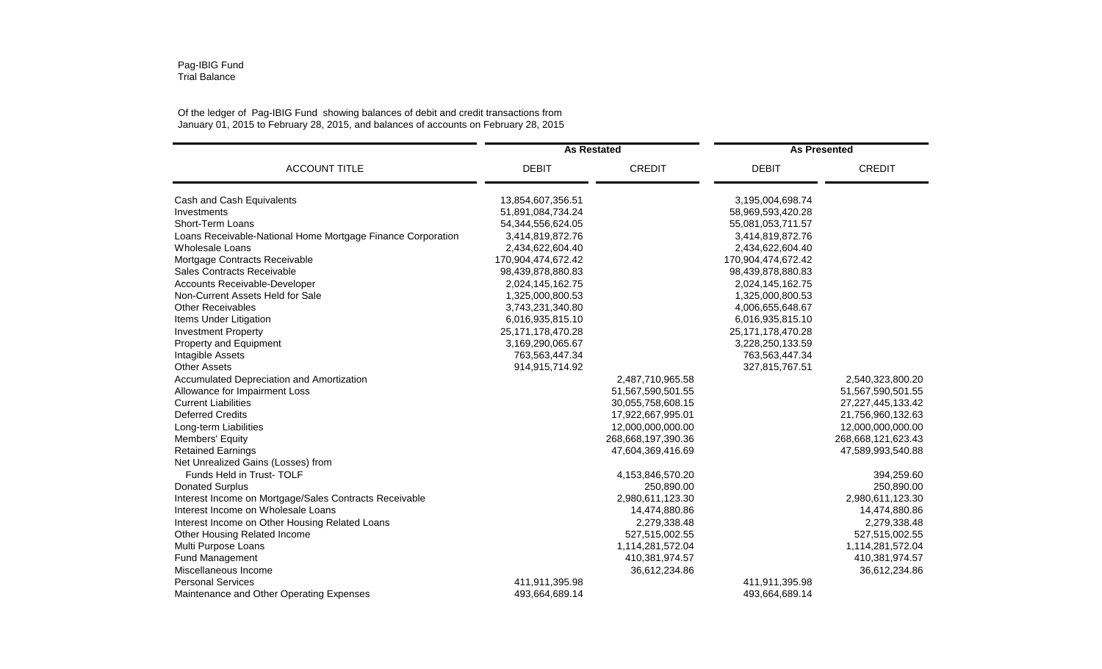## Pag-IBIG Fund Trial Balance

## Of the ledger of Pag-IBIG Fund showing balances of debit and credit transactions from January 01, 2015 to February 28, 2015, and balances of accounts on February 28, 2015

|                                                             | <b>As Restated</b>    |                    | <b>As Presented</b>   |                       |
|-------------------------------------------------------------|-----------------------|--------------------|-----------------------|-----------------------|
| <b>ACCOUNT TITLE</b>                                        | <b>DEBIT</b>          | <b>CREDIT</b>      | <b>DEBIT</b>          | <b>CREDIT</b>         |
| Cash and Cash Equivalents                                   | 13,854,607,356.51     |                    | 3,195,004,698.74      |                       |
| Investments                                                 | 51,891,084,734.24     |                    | 58,969,593,420.28     |                       |
| Short-Term Loans                                            | 54,344,556,624.05     |                    | 55,081,053,711.57     |                       |
| Loans Receivable-National Home Mortgage Finance Corporation | 3,414,819,872.76      |                    | 3,414,819,872.76      |                       |
| Wholesale Loans                                             | 2,434,622,604.40      |                    | 2,434,622,604.40      |                       |
| Mortgage Contracts Receivable                               | 170,904,474,672.42    |                    | 170,904,474,672.42    |                       |
| Sales Contracts Receivable                                  | 98,439,878,880.83     |                    | 98,439,878,880.83     |                       |
| Accounts Receivable-Developer                               | 2,024,145,162.75      |                    | 2,024,145,162.75      |                       |
| Non-Current Assets Held for Sale                            | 1,325,000,800.53      |                    | 1,325,000,800.53      |                       |
| <b>Other Receivables</b>                                    | 3,743,231,340.80      |                    | 4,006,655,648.67      |                       |
| Items Under Litigation                                      | 6,016,935,815.10      |                    | 6,016,935,815.10      |                       |
| <b>Investment Property</b>                                  | 25, 171, 178, 470. 28 |                    | 25, 171, 178, 470. 28 |                       |
| Property and Equipment                                      | 3,169,290,065.67      |                    | 3,228,250,133.59      |                       |
| Intagible Assets                                            | 763,563,447.34        |                    | 763,563,447.34        |                       |
| <b>Other Assets</b>                                         | 914,915,714.92        |                    | 327,815,767.51        |                       |
| Accumulated Depreciation and Amortization                   |                       | 2,487,710,965.58   |                       | 2,540,323,800.20      |
| Allowance for Impairment Loss                               |                       | 51,567,590,501.55  |                       | 51,567,590,501.55     |
| <b>Current Liabilities</b>                                  |                       | 30,055,758,608.15  |                       | 27, 227, 445, 133. 42 |
| <b>Deferred Credits</b>                                     |                       | 17,922,667,995.01  |                       | 21,756,960,132.63     |
| Long-term Liabilities                                       |                       | 12,000,000,000.00  |                       | 12,000,000,000.00     |
| Members' Equity                                             |                       | 268,668,197,390.36 |                       | 268,668,121,623.43    |
| <b>Retained Earnings</b>                                    |                       | 47,604,369,416.69  |                       | 47,589,993,540.88     |
| Net Unrealized Gains (Losses) from                          |                       |                    |                       |                       |
| Funds Held in Trust-TOLF                                    |                       | 4,153,846,570.20   |                       | 394,259.60            |
| <b>Donated Surplus</b>                                      |                       | 250,890.00         |                       | 250,890.00            |
| Interest Income on Mortgage/Sales Contracts Receivable      |                       | 2,980,611,123.30   |                       | 2,980,611,123.30      |
| Interest Income on Wholesale Loans                          |                       | 14,474,880.86      |                       | 14,474,880.86         |
| Interest Income on Other Housing Related Loans              |                       | 2,279,338.48       |                       | 2,279,338.48          |
| Other Housing Related Income                                |                       | 527,515,002.55     |                       | 527,515,002.55        |
| Multi Purpose Loans                                         |                       | 1,114,281,572.04   |                       | 1,114,281,572.04      |
| Fund Management                                             |                       | 410,381,974.57     |                       | 410,381,974.57        |
| Miscellaneous Income                                        |                       | 36,612,234.86      |                       | 36,612,234.86         |
| <b>Personal Services</b>                                    | 411,911,395.98        |                    | 411,911,395.98        |                       |
| Maintenance and Other Operating Expenses                    | 493,664,689.14        |                    | 493,664,689.14        |                       |